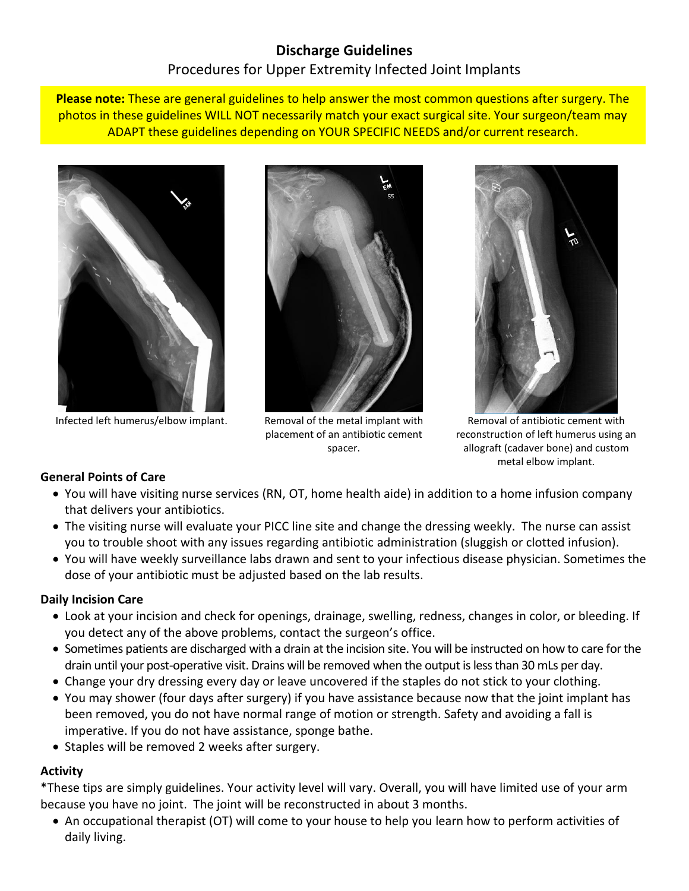# **Discharge Guidelines** Procedures for Upper Extremity Infected Joint Implants

**Please note:** These are general guidelines to help answer the most common questions after surgery. The photos in these guidelines WILL NOT necessarily match your exact surgical site. Your surgeon/team may ADAPT these guidelines depending on YOUR SPECIFIC NEEDS and/or current research.



Infected left humerus/elbow implant. Removal of the metal implant with



placement of an antibiotic cement spacer.



Removal of antibiotic cement with reconstruction of left humerus using an allograft (cadaver bone) and custom metal elbow implant.

### **General Points of Care**

- You will have visiting nurse services (RN, OT, home health aide) in addition to a home infusion company that delivers your antibiotics.
- The visiting nurse will evaluate your PICC line site and change the dressing weekly. The nurse can assist you to trouble shoot with any issues regarding antibiotic administration (sluggish or clotted infusion).
- You will have weekly surveillance labs drawn and sent to your infectious disease physician. Sometimes the dose of your antibiotic must be adjusted based on the lab results.

### **Daily Incision Care**

- Look at your incision and check for openings, drainage, swelling, redness, changes in color, or bleeding. If you detect any of the above problems, contact the surgeon's office.
- Sometimes patients are discharged with a drain at the incision site. You will be instructed on how to care for the drain until your post-operative visit. Drains will be removed when the output is less than 30 mLs per day.
- Change your dry dressing every day or leave uncovered if the staples do not stick to your clothing.
- You may shower (four days after surgery) if you have assistance because now that the joint implant has been removed, you do not have normal range of motion or strength. Safety and avoiding a fall is imperative. If you do not have assistance, sponge bathe.
- Staples will be removed 2 weeks after surgery.

## **Activity**

\*These tips are simply guidelines. Your activity level will vary. Overall, you will have limited use of your arm because you have no joint. The joint will be reconstructed in about 3 months.

 An occupational therapist (OT) will come to your house to help you learn how to perform activities of daily living.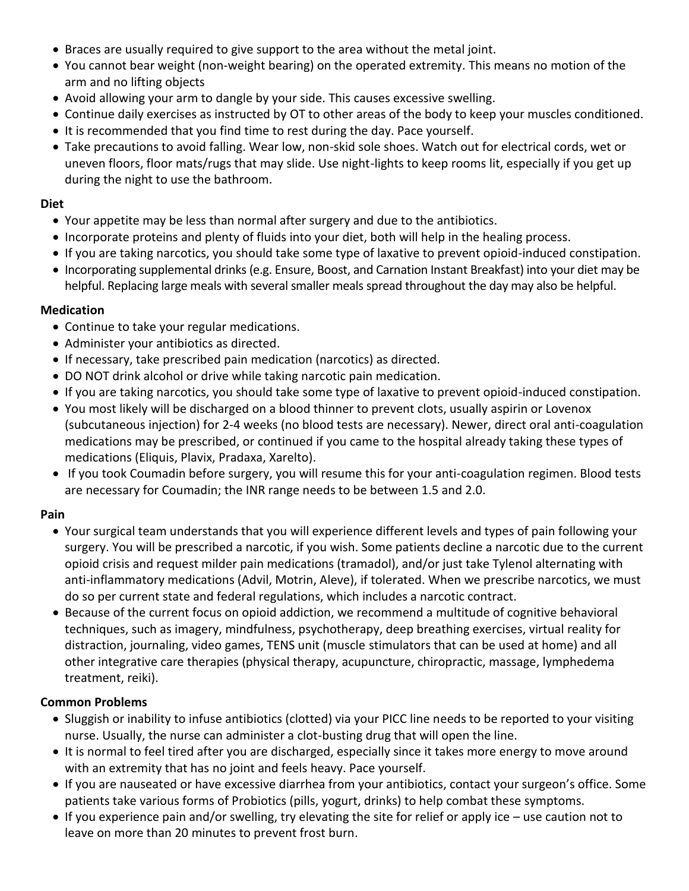- Braces are usually required to give support to the area without the metal joint.
- You cannot bear weight (non-weight bearing) on the operated extremity. This means no motion of the arm and no lifting objects
- Avoid allowing your arm to dangle by your side. This causes excessive swelling.
- Continue daily exercises as instructed by OT to other areas of the body to keep your muscles conditioned.
- It is recommended that you find time to rest during the day. Pace yourself.
- Take precautions to avoid falling. Wear low, non-skid sole shoes. Watch out for electrical cords, wet or uneven floors, floor mats/rugs that may slide. Use night-lights to keep rooms lit, especially if you get up during the night to use the bathroom.

#### **Diet**

- Your appetite may be less than normal after surgery and due to the antibiotics.
- Incorporate proteins and plenty of fluids into your diet, both will help in the healing process.
- If you are taking narcotics, you should take some type of laxative to prevent opioid-induced constipation.
- Incorporating supplemental drinks (e.g. Ensure, Boost, and Carnation Instant Breakfast) into your diet may be helpful. Replacing large meals with several smaller meals spread throughout the day may also be helpful.

#### **Medication**

- Continue to take your regular medications.
- Administer your antibiotics as directed.
- If necessary, take prescribed pain medication (narcotics) as directed.
- DO NOT drink alcohol or drive while taking narcotic pain medication.
- If you are taking narcotics, you should take some type of laxative to prevent opioid-induced constipation.
- You most likely will be discharged on a blood thinner to prevent clots, usually aspirin or Lovenox (subcutaneous injection) for 2-4 weeks (no blood tests are necessary). Newer, direct oral anti-coagulation medications may be prescribed, or continued if you came to the hospital already taking these types of medications (Eliquis, Plavix, Pradaxa, Xarelto).
- If you took Coumadin before surgery, you will resume this for your anti-coagulation regimen. Blood tests are necessary for Coumadin; the INR range needs to be between 1.5 and 2.0.

#### **Pain**

- Your surgical team understands that you will experience different levels and types of pain following your surgery. You will be prescribed a narcotic, if you wish. Some patients decline a narcotic due to the current opioid crisis and request milder pain medications (tramadol), and/or just take Tylenol alternating with anti-inflammatory medications (Advil, Motrin, Aleve), if tolerated. When we prescribe narcotics, we must do so per current state and federal regulations, which includes a narcotic contract.
- Because of the current focus on opioid addiction, we recommend a multitude of cognitive behavioral techniques, such as imagery, mindfulness, psychotherapy, deep breathing exercises, virtual reality for distraction, journaling, video games, TENS unit (muscle stimulators that can be used at home) and all other integrative care therapies (physical therapy, acupuncture, chiropractic, massage, lymphedema treatment, reiki).

### **Common Problems**

- Sluggish or inability to infuse antibiotics (clotted) via your PICC line needs to be reported to your visiting nurse. Usually, the nurse can administer a clot-busting drug that will open the line.
- It is normal to feel tired after you are discharged, especially since it takes more energy to move around with an extremity that has no joint and feels heavy. Pace yourself.
- If you are nauseated or have excessive diarrhea from your antibiotics, contact your surgeon's office. Some patients take various forms of Probiotics (pills, yogurt, drinks) to help combat these symptoms.
- If you experience pain and/or swelling, try elevating the site for relief or apply ice use caution not to leave on more than 20 minutes to prevent frost burn.